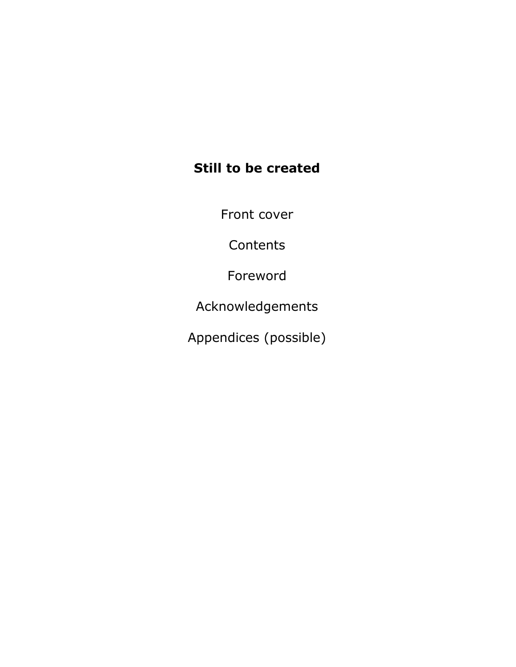## Still to be created

Front cover

**Contents** 

Foreword

Acknowledgements

Appendices (possible)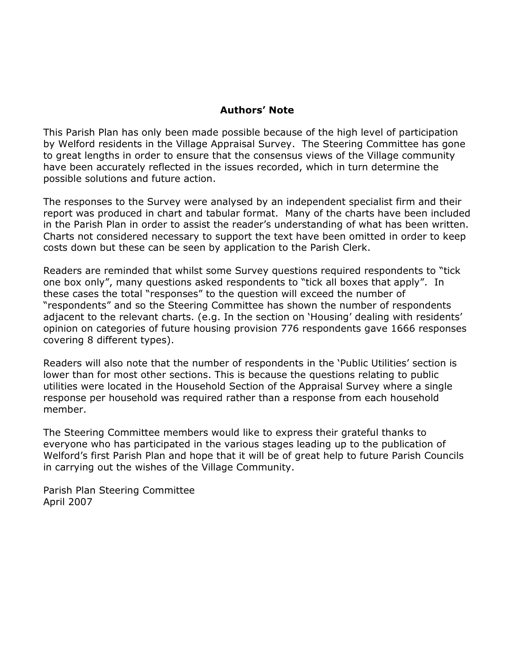#### Authors' Note

This Parish Plan has only been made possible because of the high level of participation by Welford residents in the Village Appraisal Survey. The Steering Committee has gone to great lengths in order to ensure that the consensus views of the Village community have been accurately reflected in the issues recorded, which in turn determine the possible solutions and future action.

The responses to the Survey were analysed by an independent specialist firm and their report was produced in chart and tabular format. Many of the charts have been included in the Parish Plan in order to assist the reader's understanding of what has been written. Charts not considered necessary to support the text have been omitted in order to keep costs down but these can be seen by application to the Parish Clerk.

Readers are reminded that whilst some Survey questions required respondents to "tick one box only", many questions asked respondents to "tick all boxes that apply". In these cases the total "responses" to the question will exceed the number of "respondents" and so the Steering Committee has shown the number of respondents adjacent to the relevant charts. (e.g. In the section on 'Housing' dealing with residents' opinion on categories of future housing provision 776 respondents gave 1666 responses covering 8 different types).

Readers will also note that the number of respondents in the 'Public Utilities' section is lower than for most other sections. This is because the questions relating to public utilities were located in the Household Section of the Appraisal Survey where a single response per household was required rather than a response from each household member.

The Steering Committee members would like to express their grateful thanks to everyone who has participated in the various stages leading up to the publication of Welford's first Parish Plan and hope that it will be of great help to future Parish Councils in carrying out the wishes of the Village Community.

Parish Plan Steering Committee April 2007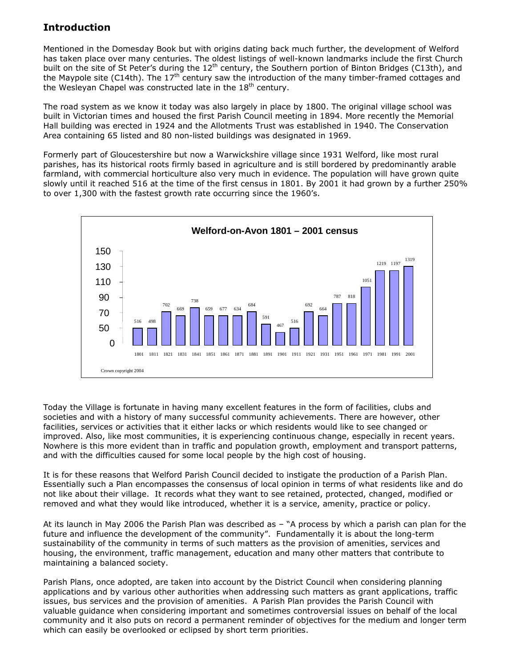#### Introduction

Mentioned in the Domesday Book but with origins dating back much further, the development of Welford has taken place over many centuries. The oldest listings of well-known landmarks include the first Church built on the site of St Peter's during the 12<sup>th</sup> century, the Southern portion of Binton Bridges (C13th), and the Maypole site (C14th). The 17<sup>th</sup> century saw the introduction of the many timber-framed cottages and the Wesleyan Chapel was constructed late in the  $18<sup>th</sup>$  century.

The road system as we know it today was also largely in place by 1800. The original village school was built in Victorian times and housed the first Parish Council meeting in 1894. More recently the Memorial Hall building was erected in 1924 and the Allotments Trust was established in 1940. The Conservation Area containing 65 listed and 80 non-listed buildings was designated in 1969.

Formerly part of Gloucestershire but now a Warwickshire village since 1931 Welford, like most rural parishes, has its historical roots firmly based in agriculture and is still bordered by predominantly arable farmland, with commercial horticulture also very much in evidence. The population will have grown quite slowly until it reached 516 at the time of the first census in 1801. By 2001 it had grown by a further 250% to over 1,300 with the fastest growth rate occurring since the 1960's.



Today the Village is fortunate in having many excellent features in the form of facilities, clubs and societies and with a history of many successful community achievements. There are however, other facilities, services or activities that it either lacks or which residents would like to see changed or improved. Also, like most communities, it is experiencing continuous change, especially in recent years. Nowhere is this more evident than in traffic and population growth, employment and transport patterns, and with the difficulties caused for some local people by the high cost of housing.

It is for these reasons that Welford Parish Council decided to instigate the production of a Parish Plan. Essentially such a Plan encompasses the consensus of local opinion in terms of what residents like and do not like about their village. It records what they want to see retained, protected, changed, modified or removed and what they would like introduced, whether it is a service, amenity, practice or policy.

At its launch in May 2006 the Parish Plan was described as – "A process by which a parish can plan for the future and influence the development of the community". Fundamentally it is about the long-term sustainability of the community in terms of such matters as the provision of amenities, services and housing, the environment, traffic management, education and many other matters that contribute to maintaining a balanced society.

Parish Plans, once adopted, are taken into account by the District Council when considering planning applications and by various other authorities when addressing such matters as grant applications, traffic issues, bus services and the provision of amenities. A Parish Plan provides the Parish Council with valuable guidance when considering important and sometimes controversial issues on behalf of the local community and it also puts on record a permanent reminder of objectives for the medium and longer term which can easily be overlooked or eclipsed by short term priorities.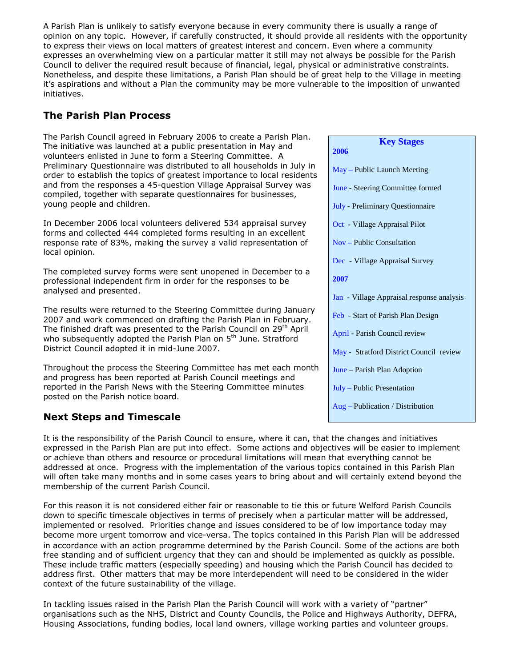A Parish Plan is unlikely to satisfy everyone because in every community there is usually a range of opinion on any topic. However, if carefully constructed, it should provide all residents with the opportunity to express their views on local matters of greatest interest and concern. Even where a community expresses an overwhelming view on a particular matter it still may not always be possible for the Parish Council to deliver the required result because of financial, legal, physical or administrative constraints. Nonetheless, and despite these limitations, a Parish Plan should be of great help to the Village in meeting it's aspirations and without a Plan the community may be more vulnerable to the imposition of unwanted initiatives.

### The Parish Plan Process

The Parish Council agreed in February 2006 to create a Parish Plan. The initiative was launched at a public presentation in May and volunteers enlisted in June to form a Steering Committee. A Preliminary Questionnaire was distributed to all households in July in order to establish the topics of greatest importance to local residents and from the responses a 45-question Village Appraisal Survey was compiled, together with separate questionnaires for businesses, young people and children.

In December 2006 local volunteers delivered 534 appraisal survey forms and collected 444 completed forms resulting in an excellent response rate of 83%, making the survey a valid representation of local opinion.

The completed survey forms were sent unopened in December to a professional independent firm in order for the responses to be analysed and presented.

The results were returned to the Steering Committee during January 2007 and work commenced on drafting the Parish Plan in February. The finished draft was presented to the Parish Council on 29<sup>th</sup> April who subsequently adopted the Parish Plan on 5<sup>th</sup> June. Stratford District Council adopted it in mid-June 2007.

Throughout the process the Steering Committee has met each month and progress has been reported at Parish Council meetings and reported in the Parish News with the Steering Committee minutes posted on the Parish notice board.

### Next Steps and Timescale

It is the responsibility of the Parish Council to ensure, where it can, that the changes and initiatives expressed in the Parish Plan are put into effect. Some actions and objectives will be easier to implement or achieve than others and resource or procedural limitations will mean that everything cannot be addressed at once. Progress with the implementation of the various topics contained in this Parish Plan will often take many months and in some cases years to bring about and will certainly extend beyond the membership of the current Parish Council.

For this reason it is not considered either fair or reasonable to tie this or future Welford Parish Councils down to specific timescale objectives in terms of precisely when a particular matter will be addressed, implemented or resolved. Priorities change and issues considered to be of low importance today may become more urgent tomorrow and vice-versa. The topics contained in this Parish Plan will be addressed in accordance with an action programme determined by the Parish Council. Some of the actions are both free standing and of sufficient urgency that they can and should be implemented as quickly as possible. These include traffic matters (especially speeding) and housing which the Parish Council has decided to address first. Other matters that may be more interdependent will need to be considered in the wider context of the future sustainability of the village.

In tackling issues raised in the Parish Plan the Parish Council will work with a variety of "partner" organisations such as the NHS, District and County Councils, the Police and Highways Authority, DEFRA, Housing Associations, funding bodies, local land owners, village working parties and volunteer groups.

| <b>Key Stages</b><br>2006                 |
|-------------------------------------------|
| May – Public Launch Meeting               |
| June - Steering Committee formed          |
| July - Preliminary Questionnaire          |
| Oct - Village Appraisal Pilot             |
| Nov – Public Consultation                 |
| Dec - Village Appraisal Survey            |
| 2007                                      |
| Jan - Village Appraisal response analysis |
| Feb - Start of Parish Plan Design         |
| April - Parish Council review             |
| May - Stratford District Council review   |
| June – Parish Plan Adoption               |
| $July - Public Presentation$              |
| $Aug - Publication / Distribution$        |
|                                           |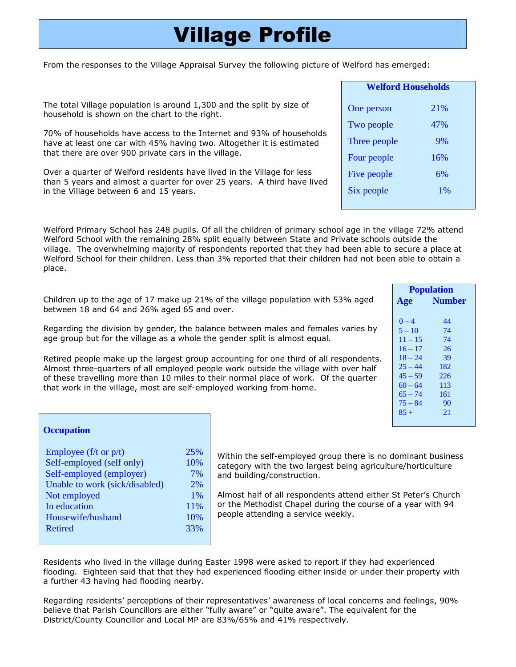## Village Profile

From the responses to the Village Appraisal Survey the following picture of Welford has emerged:

The total Village population is around 1,300 and the split by size of household is shown on the chart to the right.

70% of households have access to the Internet and 93% of households have at least one car with 45% having two. Altogether it is estimated that there are over 900 private cars in the village.

Over a quarter of Welford residents have lived in the Village for less than 5 years and almost a quarter for over 25 years. A third have lived in the Village between 6 and 15 years.

Welford Primary School has 248 pupils. Of all the children of primary school age in the village 72% attend Welford School with the remaining 28% split equally between State and Private schools outside the village. The overwhelming majority of respondents reported that they had been able to secure a place at Welford School for their children. Less than 3% reported that their children had not been able to obtain a place.

Children up to the age of 17 make up 21% of the village population with 53% aged between 18 and 64 and 26% aged 65 and over.

Regarding the division by gender, the balance between males and females varies by age group but for the village as a whole the gender split is almost equal.

Retired people make up the largest group accounting for one third of all respondents. Almost three-quarters of all employed people work outside the village with over half of these travelling more than 10 miles to their normal place of work. Of the quarter that work in the village, most are self-employed working from home.

| Age       | <b>Number</b> |
|-----------|---------------|
| $0 - 4$   | 44            |
| $5 - 10$  | 74            |
| $11 - 15$ | 74            |
| $16 - 17$ | 26            |
| $18 - 24$ | 39            |
| $25 - 44$ | 182           |
| $45 - 59$ | 226           |
| $60 - 64$ | 113           |
| $65 - 74$ | 161           |
| $75 - 84$ | 90            |
| $85 +$    | 21            |
|           |               |

 **Population**

**Occupation** 

| Employee ( $f/t$ or $p/t$ )    | 25% |
|--------------------------------|-----|
| Self-employed (self only)      | 10% |
| Self-employed (employer)       | 7%  |
| Unable to work (sick/disabled) | 2%  |
| Not employed                   | 1%  |
| In education                   | 11% |
| Housewife/husband              | 10% |
| <b>Retired</b>                 | 33% |
|                                |     |

Within the self-employed group there is no dominant business category with the two largest being agriculture/horticulture and building/construction.

Almost half of all respondents attend either St Peter's Church or the Methodist Chapel during the course of a year with 94 people attending a service weekly.

Residents who lived in the village during Easter 1998 were asked to report if they had experienced flooding. Eighteen said that that they had experienced flooding either inside or under their property with a further 43 having had flooding nearby.

Regarding residents' perceptions of their representatives' awareness of local concerns and feelings, 90% believe that Parish Councillors are either "fully aware" or "quite aware". The equivalent for the District/County Councillor and Local MP are 83%/65% and 41% respectively.

| <b>Welford Households</b> |     |
|---------------------------|-----|
| One person                | 21% |
| Two people                | 47% |
| Three people              | 9%  |
| Four people               | 16% |
| Five people               | 6%  |
| Six people                | 1%  |
|                           |     |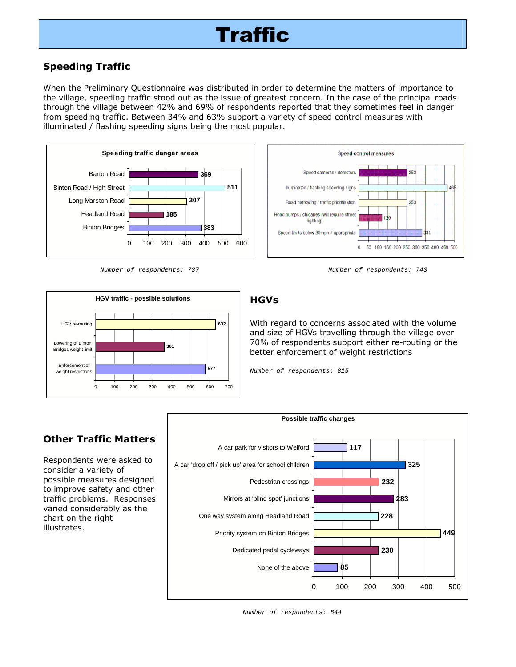### Speeding Traffic

When the Preliminary Questionnaire was distributed in order to determine the matters of importance to the village, speeding traffic stood out as the issue of greatest concern. In the case of the principal roads through the village between 42% and 69% of respondents reported that they sometimes feel in danger from speeding traffic. Between 34% and 63% support a variety of speed control measures with illuminated / flashing speeding signs being the most popular.



Number of respondents: 737 Number of respondents: 743



#### **Speed control measures** Speed cameras / detectors 953 Illuminated / flashing speeding signs 465 Road narrowing / traffic prioritisation 253 Road humps / chicanes (will require street lighting) Speed limits below 30mph if appropriate 924 0 50 100 150 200 250 300 350 400 450 500

### **HGVs**

With regard to concerns associated with the volume and size of HGVs travelling through the village over 70% of respondents support either re-routing or the better enforcement of weight restrictions

Number of respondents: 815



## Other Traffic Matters

Respondents were asked to consider a variety of possible measures designed to improve safety and other traffic problems. Responses varied considerably as the chart on the right illustrates.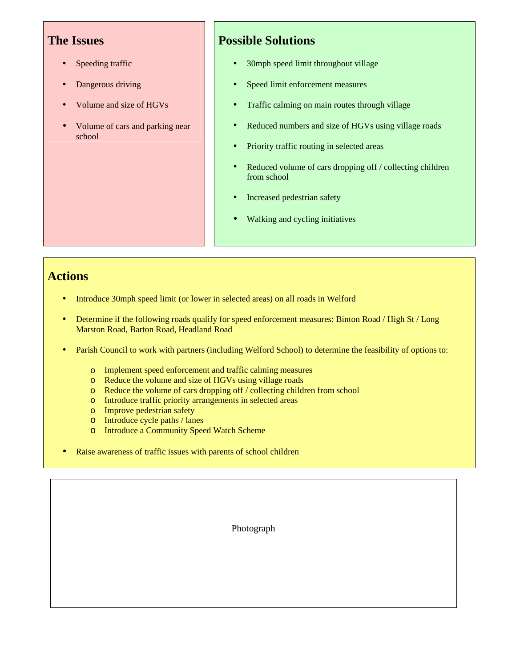- Speeding traffic
- Dangerous driving
- Volume and size of HGVs
- Volume of cars and parking near school

## **Possible Solutions**

- 30mph speed limit throughout village
- Speed limit enforcement measures
- Traffic calming on main routes through village
- Reduced numbers and size of HGVs using village roads
- Priority traffic routing in selected areas
- Reduced volume of cars dropping off / collecting children from school
- Increased pedestrian safety
- Walking and cycling initiatives

## **Actions**

- Introduce 30mph speed limit (or lower in selected areas) on all roads in Welford
- Determine if the following roads qualify for speed enforcement measures: Binton Road / High St / Long Marston Road, Barton Road, Headland Road
- Parish Council to work with partners (including Welford School) to determine the feasibility of options to:
	- o Implement speed enforcement and traffic calming measures
	- o Reduce the volume and size of HGVs using village roads
	- o Reduce the volume of cars dropping off / collecting children from school
	- o Introduce traffic priority arrangements in selected areas
	- o Improve pedestrian safety
	- o Introduce cycle paths / lanes
	- o Introduce a Community Speed Watch Scheme
- Raise awareness of traffic issues with parents of school children

Photograph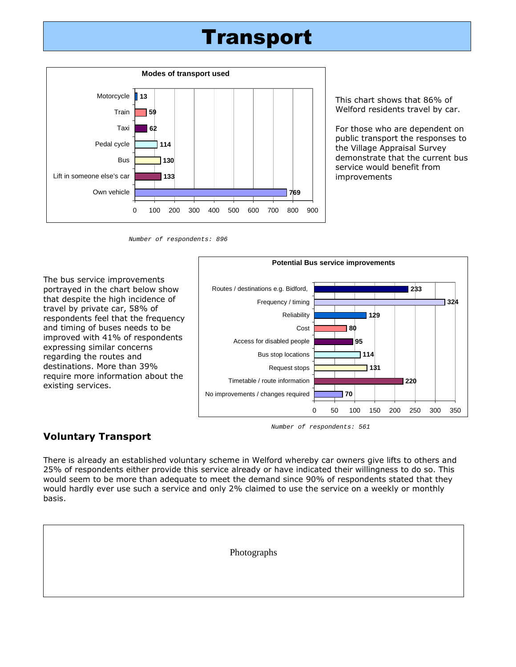## Transport



This chart shows that 86% of Welford residents travel by car.

For those who are dependent on public transport the responses to the Village Appraisal Survey demonstrate that the current bus service would benefit from improvements

Number of respondents: 896

The bus service improvements portrayed in the chart below show that despite the high incidence of travel by private car, 58% of respondents feel that the frequency and timing of buses needs to be improved with 41% of respondents expressing similar concerns regarding the routes and destinations. More than 39% require more information about the existing services.



#### Number of respondents: 561

#### Voluntary Transport

There is already an established voluntary scheme in Welford whereby car owners give lifts to others and 25% of respondents either provide this service already or have indicated their willingness to do so. This would seem to be more than adequate to meet the demand since 90% of respondents stated that they would hardly ever use such a service and only 2% claimed to use the service on a weekly or monthly basis.

| Photographs |
|-------------|
|             |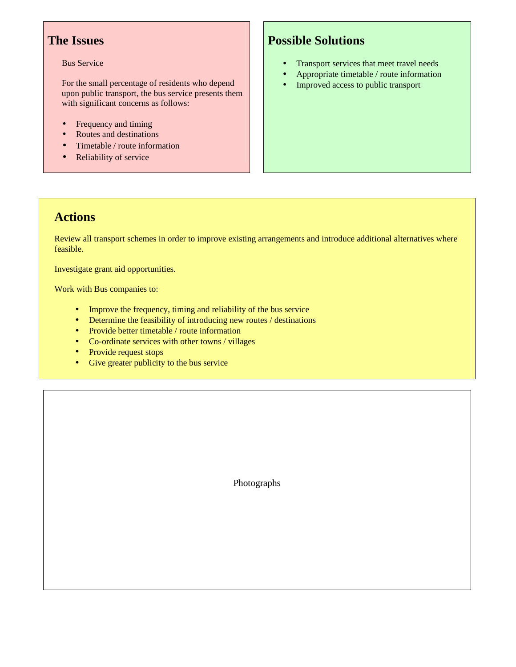#### Bus Service

For the small percentage of residents who depend upon public transport, the bus service presents them with significant concerns as follows:

- Frequency and timing
- Routes and destinations
- Timetable / route information
- Reliability of service

## **Possible Solutions**

- Transport services that meet travel needs
- Appropriate timetable / route information
- Improved access to public transport

## **Actions**

Review all transport schemes in order to improve existing arrangements and introduce additional alternatives where feasible.

Investigate grant aid opportunities.

Work with Bus companies to:

- Improve the frequency, timing and reliability of the bus service
- Determine the feasibility of introducing new routes / destinations
- Provide better timetable / route information
- Co-ordinate services with other towns / villages
- Provide request stops
- Give greater publicity to the bus service

Photographs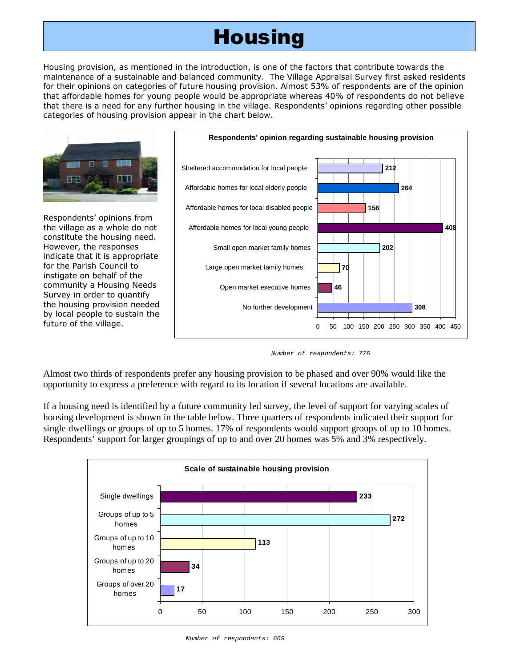## **Housing**

Housing provision, as mentioned in the introduction, is one of the factors that contribute towards the maintenance of a sustainable and balanced community. The Village Appraisal Survey first asked residents for their opinions on categories of future housing provision. Almost 53% of respondents are of the opinion that affordable homes for young people would be appropriate whereas 40% of respondents do not believe that there is a need for any further housing in the village. Respondents' opinions regarding other possible categories of housing provision appear in the chart below.



Number of respondents: 776

Almost two thirds of respondents prefer any housing provision to be phased and over 90% would like the opportunity to express a preference with regard to its location if several locations are available.

If a housing need is identified by a future community led survey, the level of support for varying scales of housing development is shown in the table below. Three quarters of respondents indicated their support for single dwellings or groups of up to 5 homes. 17% of respondents would support groups of up to 10 homes. Respondents' support for larger groupings of up to and over 20 homes was 5% and 3% respectively.

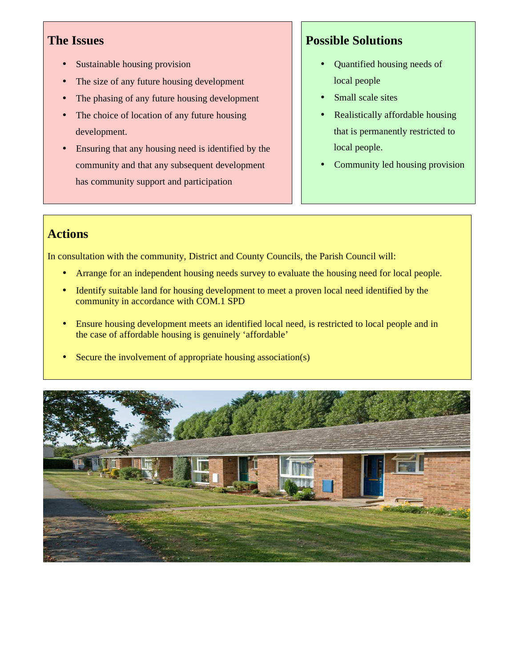- Sustainable housing provision
- The size of any future housing development
- The phasing of any future housing development
- The choice of location of any future housing development.
- Ensuring that any housing need is identified by the community and that any subsequent development has community support and participation

## **Possible Solutions**

- Quantified housing needs of local people
- Small scale sites
- Realistically affordable housing that is permanently restricted to local people.
- Community led housing provision

## **Actions**

In consultation with the community, District and County Councils, the Parish Council will:

- Arrange for an independent housing needs survey to evaluate the housing need for local people.
- Identify suitable land for housing development to meet a proven local need identified by the community in accordance with COM.1 SPD
- Ensure housing development meets an identified local need, is restricted to local people and in the case of affordable housing is genuinely 'affordable'
- Secure the involvement of appropriate housing association(s)

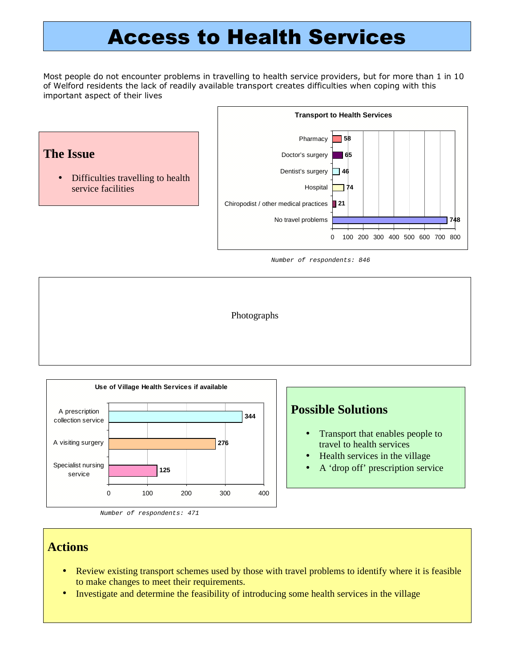## Access to Health Services

Most people do not encounter problems in travelling to health service providers, but for more than 1 in 10 of Welford residents the lack of readily available transport creates difficulties when coping with this important aspect of their lives



Number of respondents: 846





Number of respondents: 471

## **Possible Solutions**

- Transport that enables people to travel to health services
- Health services in the village
- A 'drop off' prescription service

#### **Actions**

- Review existing transport schemes used by those with travel problems to identify where it is feasible to make changes to meet their requirements.
- Investigate and determine the feasibility of introducing some health services in the village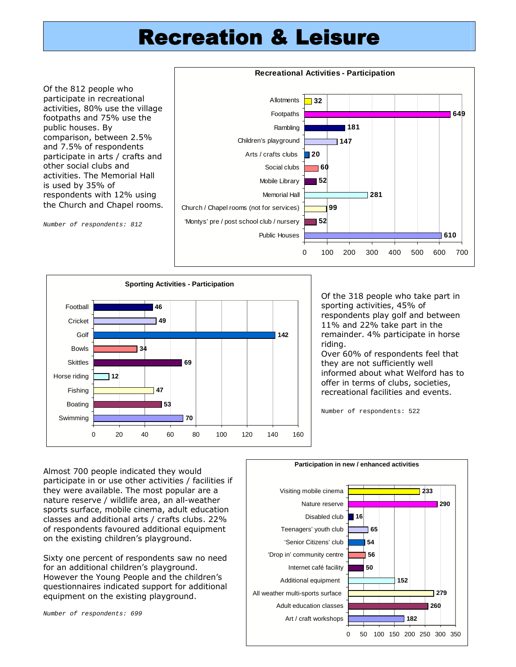## Recreation & Leisure

Of the 812 people who participate in recreational activities, 80% use the village footpaths and 75% use the public houses. By comparison, between 2.5% and 7.5% of respondents participate in arts / crafts and other social clubs and activities. The Memorial Hall is used by 35% of respondents with 12% using the Church and Chapel rooms.

Number of respondents: 812





Of the 318 people who take part in sporting activities, 45% of respondents play golf and between 11% and 22% take part in the remainder. 4% participate in horse riding.

Over 60% of respondents feel that they are not sufficiently well informed about what Welford has to offer in terms of clubs, societies, recreational facilities and events.

Number of respondents: 522

Almost 700 people indicated they would participate in or use other activities / facilities if they were available. The most popular are a nature reserve / wildlife area, an all-weather sports surface, mobile cinema, adult education classes and additional arts / crafts clubs. 22% of respondents favoured additional equipment on the existing children's playground. Sixty one percent of respondents saw no need for an additional children's playground. However the Young People and the children's questionnaires indicated support for additional equipment on the existing playground. **50 56 54 65 16** All weather multi-sports surface Additional equipment Internet café facility 'Drop in' community centre 'Senior Citizens' club Teenagers' youth club Disabled club Nature reserve Visiting mobile cinema

Number of respondents: 699

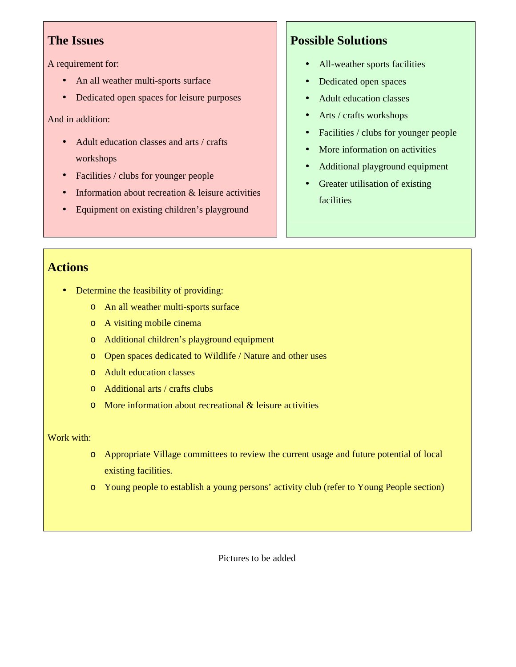A requirement for:

- An all weather multi-sports surface
- Dedicated open spaces for leisure purposes

And in addition:

- Adult education classes and arts / crafts workshops
- Facilities / clubs for younger people
- Information about recreation & leisure activities
- Equipment on existing children's playground

## **Possible Solutions**

- All-weather sports facilities
- Dedicated open spaces
- Adult education classes
- Arts / crafts workshops
- Facilities / clubs for younger people
- More information on activities
- Additional playground equipment
- Greater utilisation of existing facilities

## **Actions**

- Determine the feasibility of providing:
	- o An all weather multi-sports surface
	- o A visiting mobile cinema
	- o Additional children's playground equipment
	- o Open spaces dedicated to Wildlife / Nature and other uses
	- o Adult education classes
	- o Additional arts / crafts clubs
	- o More information about recreational & leisure activities

#### Work with:

- o Appropriate Village committees to review the current usage and future potential of local existing facilities.
- o Young people to establish a young persons' activity club (refer to Young People section)

Pictures to be added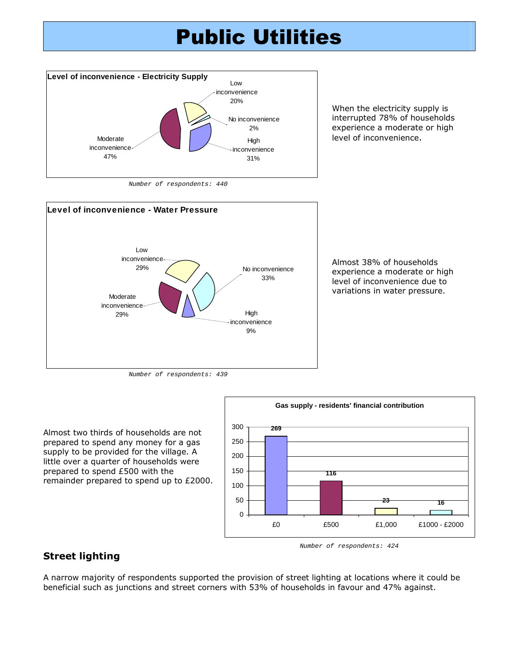## Public Utilities



When the electricity supply is interrupted 78% of households experience a moderate or high level of inconvenience.

Number of respondents: 440



Almost 38% of households experience a moderate or high level of inconvenience due to variations in water pressure.

Number of respondents: 439

Almost two thirds of households are not prepared to spend any money for a gas supply to be provided for the village. A little over a quarter of households were prepared to spend £500 with the remainder prepared to spend up to £2000.



Street lighting

Number of respondents: 424

A narrow majority of respondents supported the provision of street lighting at locations where it could be beneficial such as junctions and street corners with 53% of households in favour and 47% against.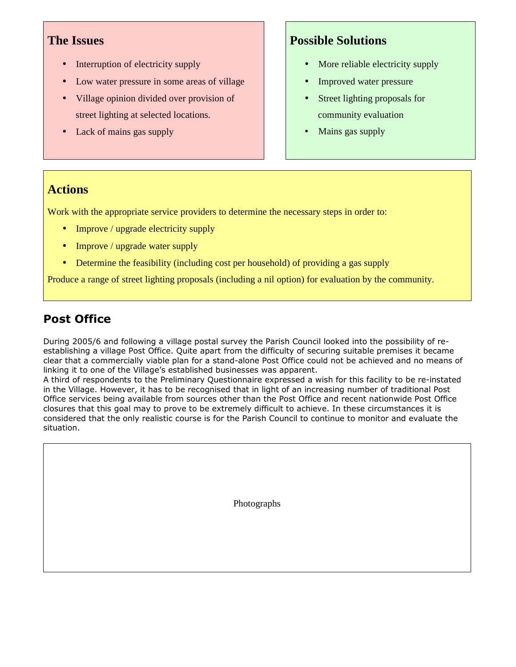- Interruption of electricity supply
- Low water pressure in some areas of village
- Village opinion divided over provision of street lighting at selected locations.
- Lack of mains gas supply

## **Possible Solutions**

- More reliable electricity supply
- Improved water pressure
- Street lighting proposals for community evaluation
- Mains gas supply

## **Actions**

Work with the appropriate service providers to determine the necessary steps in order to:

- Improve / upgrade electricity supply
- Improve / upgrade water supply
- Determine the feasibility (including cost per household) of providing a gas supply

Produce a range of street lighting proposals (including a nil option) for evaluation by the community.

## Post Office

During 2005/6 and following a village postal survey the Parish Council looked into the possibility of reestablishing a village Post Office. Quite apart from the difficulty of securing suitable premises it became clear that a commercially viable plan for a stand-alone Post Office could not be achieved and no means of linking it to one of the Village's established businesses was apparent.

A third of respondents to the Preliminary Questionnaire expressed a wish for this facility to be re-instated in the Village. However, it has to be recognised that in light of an increasing number of traditional Post Office services being available from sources other than the Post Office and recent nationwide Post Office closures that this goal may to prove to be extremely difficult to achieve. In these circumstances it is considered that the only realistic course is for the Parish Council to continue to monitor and evaluate the situation.

Photographs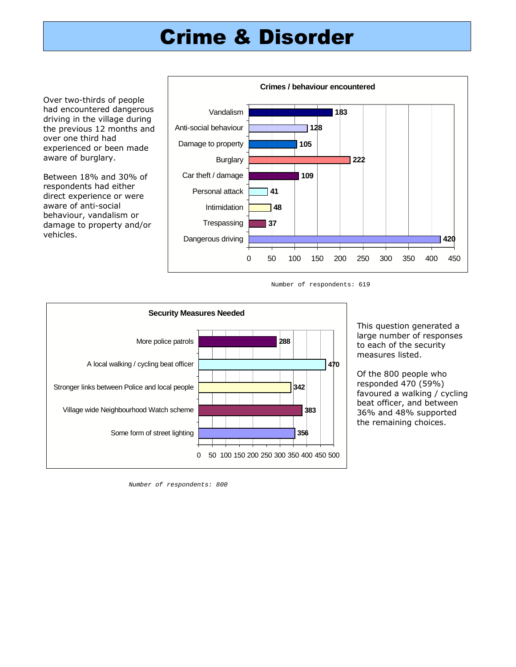## Crime & Disorder

Over two-thirds of people had encountered dangerous driving in the village during the previous 12 months and over one third had experienced or been made aware of burglary.

Between 18% and 30% of respondents had either direct experience or were aware of anti-social behaviour, vandalism or damage to property and/or vehicles.



Number of respondents: 619



This question generated a large number of responses to each of the security measures listed.

Of the 800 people who responded 470 (59%) favoured a walking / cycling beat officer, and between 36% and 48% supported the remaining choices.

Number of respondents: 800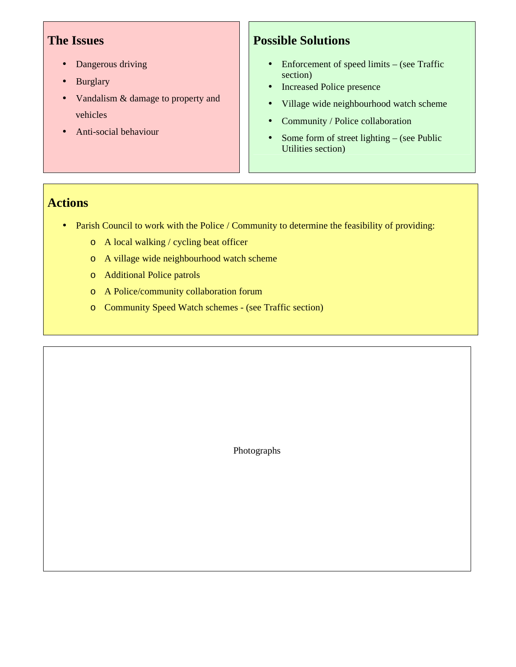- Dangerous driving
- **Burglary**
- Vandalism & damage to property and vehicles
- Anti-social behaviour

## **Possible Solutions**

- Enforcement of speed limits (see Traffic section)
- Increased Police presence
- Village wide neighbourhood watch scheme
- Community / Police collaboration
- Some form of street lighting (see Public Utilities section)

## **Actions**

- Parish Council to work with the Police / Community to determine the feasibility of providing:
	- o A local walking / cycling beat officer
	- o A village wide neighbourhood watch scheme
	- o Additional Police patrols
	- o A Police/community collaboration forum
	- o Community Speed Watch schemes (see Traffic section)

Photographs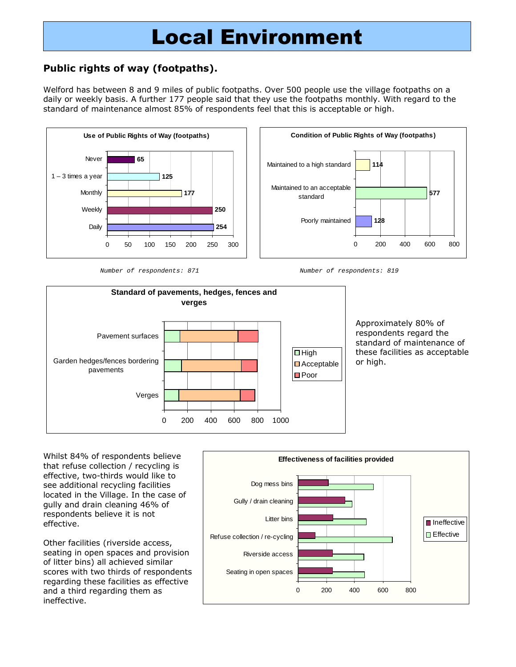## Local Environment

### Public rights of way (footpaths).

Welford has between 8 and 9 miles of public footpaths. Over 500 people use the village footpaths on a daily or weekly basis. A further 177 people said that they use the footpaths monthly. With regard to the standard of maintenance almost 85% of respondents feel that this is acceptable or high.









Approximately 80% of respondents regard the standard of maintenance of these facilities as acceptable or high.

Whilst 84% of respondents believe that refuse collection / recycling is effective, two-thirds would like to see additional recycling facilities located in the Village. In the case of gully and drain cleaning 46% of respondents believe it is not effective.

Other facilities (riverside access, seating in open spaces and provision of litter bins) all achieved similar scores with two thirds of respondents regarding these facilities as effective and a third regarding them as ineffective.

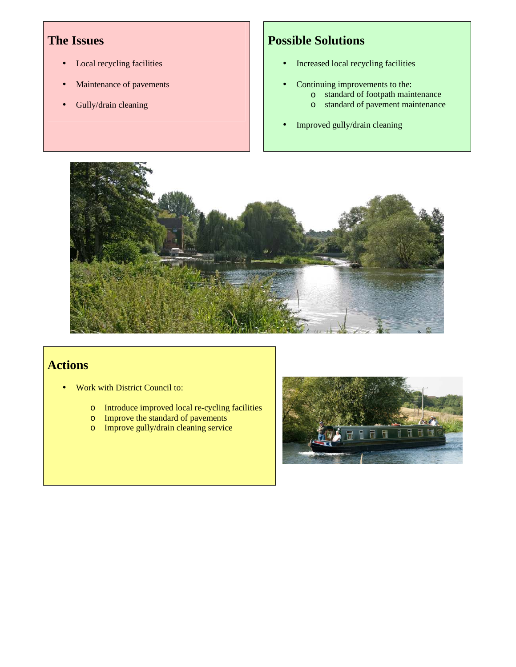- Local recycling facilities
- Maintenance of pavements
- Gully/drain cleaning

## **Possible Solutions**

- Increased local recycling facilities
- Continuing improvements to the:
	- o standard of footpath maintenance
		- o standard of pavement maintenance
- Improved gully/drain cleaning



## **Actions**

- Work with District Council to:
	- o Introduce improved local re-cycling facilities
	- o Improve the standard of pavements
	- o Improve gully/drain cleaning service

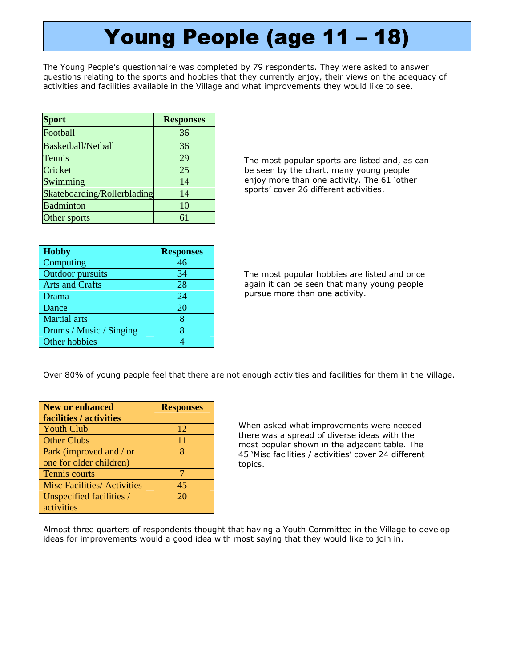# Young People (age 11 – 18)

The Young People's questionnaire was completed by 79 respondents. They were asked to answer questions relating to the sports and hobbies that they currently enjoy, their views on the adequacy of activities and facilities available in the Village and what improvements they would like to see.

| <b>Sport</b>                | <b>Responses</b> |
|-----------------------------|------------------|
| Football                    | 36               |
| Basketball/Netball          | 36               |
| Tennis                      | 29               |
| Cricket                     | 25               |
| Swimming                    | 14               |
| Skateboarding/Rollerblading | 14               |
| <b>Badminton</b>            | 10               |
| Other sports                | 61               |

**Hobby Responses**  Computing 46 Outdoor pursuits 1 34 Arts and Crafts 28 Drama 24 Dance 20 Martial arts **8** Drums / Music / Singing 8 Other hobbies 4

The most popular sports are listed and, as can be seen by the chart, many young people enjoy more than one activity. The 61 'other sports' cover 26 different activities.

The most popular hobbies are listed and once again it can be seen that many young people pursue more than one activity.

Over 80% of young people feel that there are not enough activities and facilities for them in the Village.

| New or enhanced                    | <b>Responses</b> |
|------------------------------------|------------------|
| facilities / activities            |                  |
| <b>Youth Club</b>                  | 12               |
| <b>Other Clubs</b>                 | 11               |
| Park (improved and / or            | x                |
| one for older children)            |                  |
| <b>Tennis courts</b>               |                  |
| <b>Misc Facilities/ Activities</b> | 45               |
| Unspecified facilities /           | 20               |
| activities                         |                  |

When asked what improvements were needed there was a spread of diverse ideas with the most popular shown in the adjacent table. The 45 'Misc facilities / activities' cover 24 different topics.

Almost three quarters of respondents thought that having a Youth Committee in the Village to develop ideas for improvements would a good idea with most saying that they would like to join in.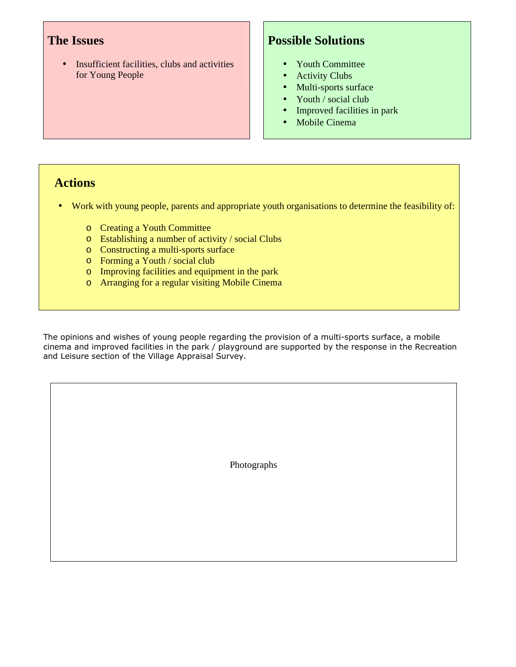• Insufficient facilities, clubs and activities for Young People

## **Possible Solutions**

- Youth Committee
- Activity Clubs
- Multi-sports surface
- Youth / social club
- Improved facilities in park
- Mobile Cinema

### **Actions**

- Work with young people, parents and appropriate youth organisations to determine the feasibility of:
	- o Creating a Youth Committee
	- o Establishing a number of activity / social Clubs
	- o Constructing a multi-sports surface
	- o Forming a Youth / social club
	- o Improving facilities and equipment in the park
	- o Arranging for a regular visiting Mobile Cinema

The opinions and wishes of young people regarding the provision of a multi-sports surface, a mobile cinema and improved facilities in the park / playground are supported by the response in the Recreation and Leisure section of the Village Appraisal Survey.

Photographs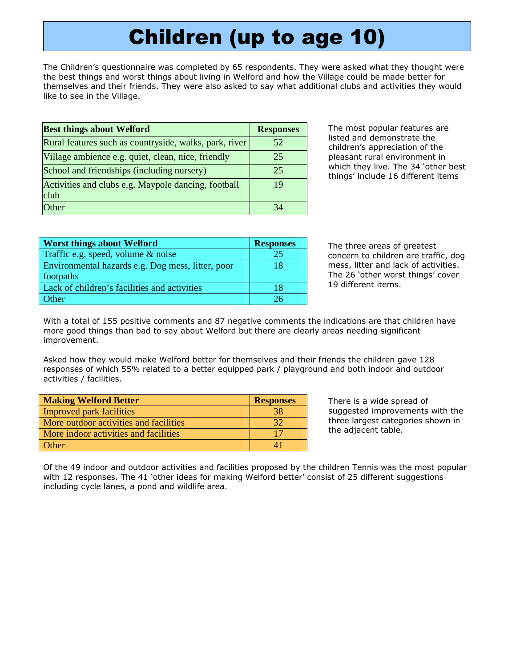# Children (up to age 10)

The Children's questionnaire was completed by 65 respondents. They were asked what they thought were the best things and worst things about living in Welford and how the Village could be made better for themselves and their friends. They were also asked to say what additional clubs and activities they would like to see in the Village.

| <b>Best things about Welford</b>                       | <b>Responses</b> |
|--------------------------------------------------------|------------------|
| Rural features such as countryside, walks, park, river | 52               |
| Village ambience e.g. quiet, clean, nice, friendly     | 25               |
| School and friendships (including nursery)             | 25               |
| Activities and clubs e.g. Maypole dancing, football    | 19               |
| club                                                   |                  |
| Other                                                  |                  |

The most popular features are listed and demonstrate the children's appreciation of the pleasant rural environment in which they live. The 34 'other best things' include 16 different items

| <b>Worst things about Welford</b>                 | <b>Responses</b> |
|---------------------------------------------------|------------------|
| Traffic e.g. speed, volume $\&$ noise             | 25               |
| Environmental hazards e.g. Dog mess, litter, poor | 18               |
| footpaths                                         |                  |
| Lack of children's facilities and activities      | 18               |
| <b>Other</b>                                      | 26               |

The three areas of greatest concern to children are traffic, dog mess, litter and lack of activities. The 26 'other worst things' cover 19 different items.

With a total of 155 positive comments and 87 negative comments the indications are that children have more good things than bad to say about Welford but there are clearly areas needing significant improvement.

Asked how they would make Welford better for themselves and their friends the children gave 128 responses of which 55% related to a better equipped park / playground and both indoor and outdoor activities / facilities.

| <b>Making Welford Better</b>           | <b>Responses</b> |
|----------------------------------------|------------------|
| <b>Improved park facilities</b>        |                  |
| More outdoor activities and facilities | 32               |
| More indoor activities and facilities  |                  |
| Other                                  |                  |

There is a wide spread of suggested improvements with the three largest categories shown in the adjacent table.

Of the 49 indoor and outdoor activities and facilities proposed by the children Tennis was the most popular with 12 responses. The 41 'other ideas for making Welford better' consist of 25 different suggestions including cycle lanes, a pond and wildlife area.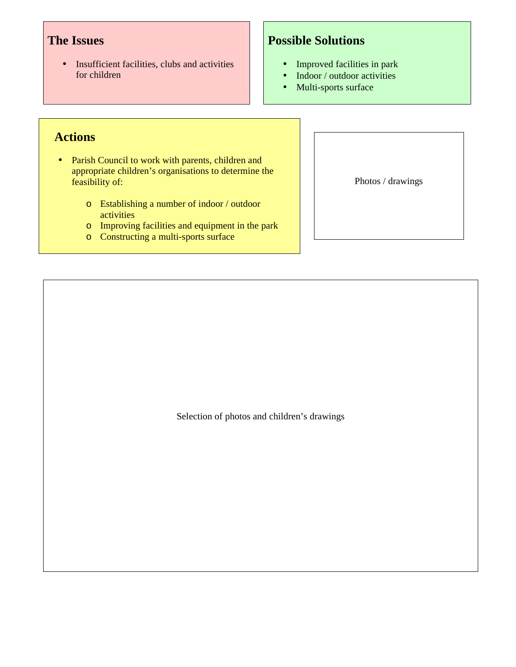• Insufficient facilities, clubs and activities for children

## **Possible Solutions**

- Improved facilities in park
- Indoor / outdoor activities
- Multi-sports surface

## **Actions**

- Parish Council to work with parents, children and appropriate children's organisations to determine the feasibility of:
	- o Establishing a number of indoor / outdoor activities
	- o Improving facilities and equipment in the park
	- o Constructing a multi-sports surface

Photos / drawings

Selection of photos and children's drawings